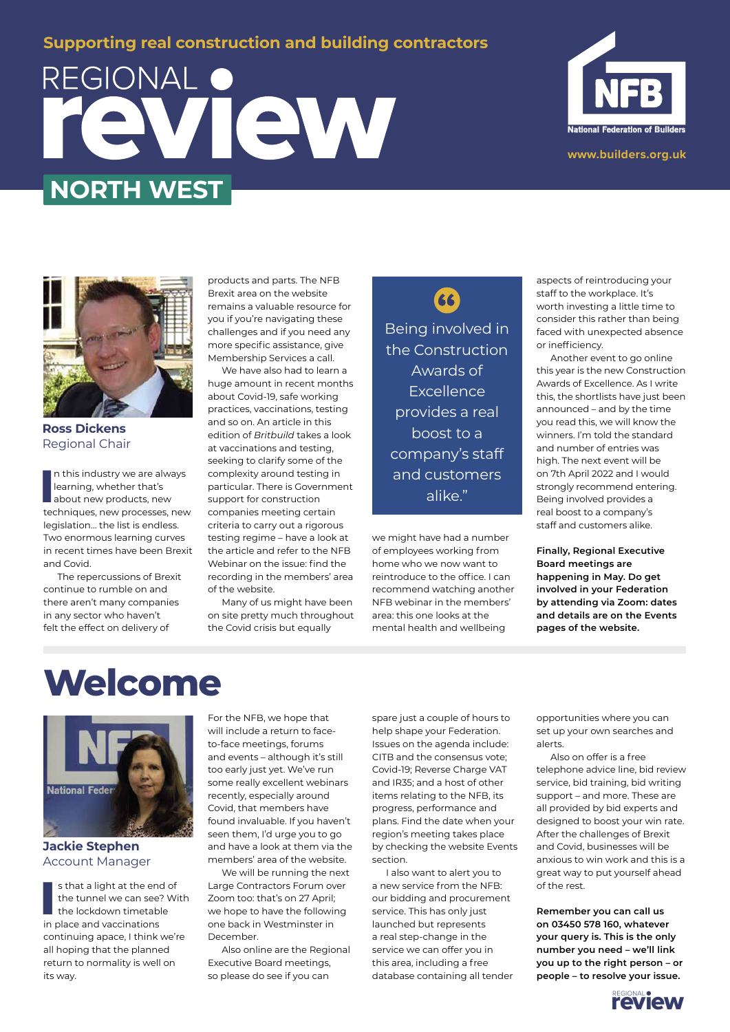### **Supporting real construction and building contractors**

# REGIONAL O VIEW **NORTH WEST**





**Ross Dickens** Regional Chair

In this industry we are always<br>learning, whether that's<br>about new products, new<br>techniques, new processes, new n this industry we are always learning, whether that's about new products, new legislation… the list is endless. Two enormous learning curves in recent times have been Brexit and Covid.

The repercussions of Brexit continue to rumble on and there aren't many companies in any sector who haven't felt the effect on delivery of

products and parts. The NFB Brexit area on the website remains a valuable resource for you if you're navigating these challenges and if you need any more specific assistance, give Membership Services a call.

We have also had to learn a huge amount in recent months about Covid-19, safe working practices, vaccinations, testing and so on. An article in this edition of *Britbuild* takes a look at vaccinations and testing, seeking to clarify some of the complexity around testing in particular. There is Government support for construction companies meeting certain criteria to carry out a rigorous testing regime – have a look at the article and refer to the NFB Webinar on the issue: find the recording in the members' area of the website.

Many of us might have been on site pretty much throughout the Covid crisis but equally

Being involved in the Construction Awards of **Excellence** provides a real boost to a company's staff and customers alike."

66

we might have had a number of employees working from home who we now want to reintroduce to the office. I can recommend watching another NFB webinar in the members' area: this one looks at the mental health and wellbeing

aspects of reintroducing your staff to the workplace. It's worth investing a little time to consider this rather than being faced with unexpected absence or inefficiency.

Another event to go online this year is the new Construction Awards of Excellence. As I write this, the shortlists have just been announced – and by the time you read this, we will know the winners. I'm told the standard and number of entries was high. The next event will be on 7th April 2022 and I would strongly recommend entering. Being involved provides a real boost to a company's staff and customers alike.

**Finally, Regional Executive Board meetings are happening in May. Do get involved in your Federation by attending via Zoom: dates and details are on the Events pages of the website.**

## **Welcome**



### **Jackie Stephen** Account Manager

**I** s that a light at the end<br>the tunnel we can see<br>the lockdown timetable<br>in place and vaccinations s that a light at the end of the tunnel we can see? With the lockdown timetable continuing apace, I think we're all hoping that the planned return to normality is well on its way.

For the NFB, we hope that will include a return to faceto-face meetings, forums and events – although it's still too early just yet. We've run some really excellent webinars recently, especially around Covid, that members have found invaluable. If you haven't seen them, I'd urge you to go and have a look at them via the members' area of the website.

We will be running the next Large Contractors Forum over Zoom too: that's on 27 April; we hope to have the following one back in Westminster in December.

Also online are the Regional Executive Board meetings, so please do see if you can

spare just a couple of hours to help shape your Federation. Issues on the agenda include: CITB and the consensus vote; Covid-19; Reverse Charge VAT and IR35; and a host of other items relating to the NFB, its progress, performance and plans. Find the date when your region's meeting takes place by checking the website Events section.

I also want to alert you to a new service from the NFB: our bidding and procurement service. This has only just launched but represents a real step-change in the service we can offer you in this area, including a free database containing all tender opportunities where you can set up your own searches and alerts.

Also on offer is a free telephone advice line, bid review service, bid training, bid writing support – and more. These are all provided by bid experts and designed to boost your win rate. After the challenges of Brexit and Covid, businesses will be anxious to win work and this is a great way to put yourself ahead of the rest.

**Remember you can call us on 03450 578 160, whatever your query is. This is the only number you need – we'll link you up to the right person – or people – to resolve your issue.**

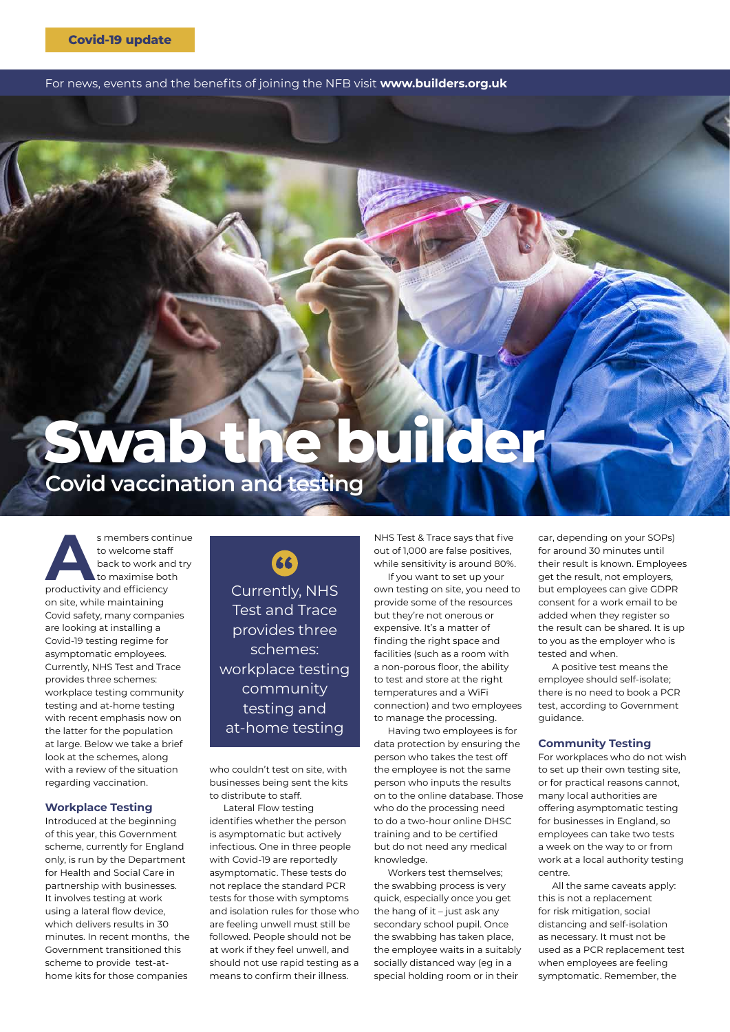For news, events and the benefits of joining the NFB visit **www.builders.org.uk**

## **Covid vaccination and testing Swab the builder**

s members continue<br>to welcome staff<br>back to work and try<br>productivity and efficiency to welcome staff back to work and try to maximise both on site, while maintaining Covid safety, many companies are looking at installing a Covid-19 testing regime for asymptomatic employees. Currently, NHS Test and Trace provides three schemes: workplace testing community testing and at-home testing with recent emphasis now on the latter for the population at large. Below we take a brief look at the schemes, along with a review of the situation regarding vaccination.

### **Workplace Testing**

Introduced at the beginning of this year, this Government scheme, currently for England only, is run by the Department for Health and Social Care in partnership with businesses. It involves testing at work using a lateral flow device, which delivers results in 30 minutes. In recent months, the Government transitioned this scheme to provide test-athome kits for those companies

66 Currently, NHS Test and Trace provides three schemes: workplace testing community testing and at-home testing

who couldn't test on site, with businesses being sent the kits to distribute to staff.

Lateral Flow testing identifies whether the person is asymptomatic but actively infectious. One in three people with Covid-19 are reportedly asymptomatic. These tests do not replace the standard PCR tests for those with symptoms and isolation rules for those who are feeling unwell must still be followed. People should not be at work if they feel unwell, and should not use rapid testing as a means to confirm their illness.

NHS Test & Trace says that five out of 1,000 are false positives, while sensitivity is around 80%.

If you want to set up your own testing on site, you need to provide some of the resources but they're not onerous or expensive. It's a matter of finding the right space and facilities (such as a room with a non-porous floor, the ability to test and store at the right temperatures and a WiFi connection) and two employees to manage the processing.

Having two employees is for data protection by ensuring the person who takes the test off the employee is not the same person who inputs the results on to the online database. Those who do the processing need to do a two-hour online DHSC training and to be certified but do not need any medical knowledge.

Workers test themselves; the swabbing process is very quick, especially once you get the hang of it – just ask any secondary school pupil. Once the swabbing has taken place, the employee waits in a suitably socially distanced way (eg in a special holding room or in their

car, depending on your SOPs) for around 30 minutes until their result is known. Employees get the result, not employers, but employees can give GDPR consent for a work email to be added when they register so the result can be shared. It is up to you as the employer who is tested and when.

A positive test means the employee should self-isolate; there is no need to book a PCR test, according to Government guidance.

### **Community Testing**

For workplaces who do not wish to set up their own testing site, or for practical reasons cannot, many local authorities are offering asymptomatic testing for businesses in England, so employees can take two tests a week on the way to or from work at a local authority testing centre.

All the same caveats apply: this is not a replacement for risk mitigation, social distancing and self-isolation as necessary. It must not be used as a PCR replacement test when employees are feeling symptomatic. Remember, the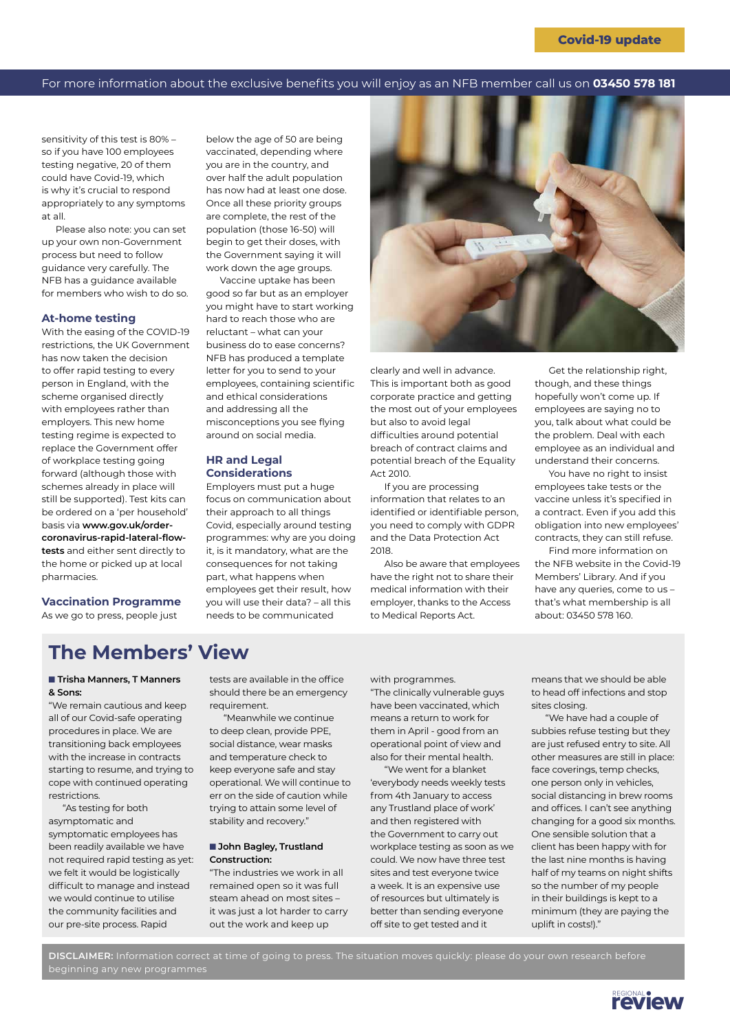### For more information about the exclusive benefits you will enjoy as an NFB member call us on **03450 578 181**

sensitivity of this test is 80% – so if you have 100 employees testing negative, 20 of them could have Covid-19, which is why it's crucial to respond appropriately to any symptoms at all.

Please also note: you can set up your own non-Government process but need to follow guidance very carefully. The NFB has a guidance available for members who wish to do so.

#### **At-home testing**

With the easing of the COVID-19 restrictions, the UK Government has now taken the decision to offer rapid testing to every person in England, with the scheme organised directly with employees rather than employers. This new home testing regime is expected to replace the Government offer of workplace testing going forward (although those with schemes already in place will still be supported). Test kits can be ordered on a 'per household' basis via **[www.gov.uk/order](https://www.gov.uk/order-coronavirus-rapid-lateral-flow-tests)[coronavirus-rapid-lateral-flow](https://www.gov.uk/order-coronavirus-rapid-lateral-flow-tests)[tests](https://www.gov.uk/order-coronavirus-rapid-lateral-flow-tests)** and either sent directly to the home or picked up at local pharmacies.

**Vaccination Programme**  As we go to press, people just

below the age of 50 are being vaccinated, depending where you are in the country, and over half the adult population has now had at least one dose. Once all these priority groups are complete, the rest of the population (those 16-50) will begin to get their doses, with the Government saying it will work down the age groups. Vaccine uptake has been

good so far but as an employer you might have to start working hard to reach those who are reluctant – what can your business do to ease concerns? NFB has produced a template letter for you to send to your employees, containing scientific and ethical considerations and addressing all the misconceptions you see flying around on social media.

### **HR and Legal Considerations**

Employers must put a huge focus on communication about their approach to all things Covid, especially around testing programmes: why are you doing it, is it mandatory, what are the consequences for not taking part, what happens when employees get their result, how you will use their data? – all this needs to be communicated



clearly and well in advance. This is important both as good corporate practice and getting the most out of your employees but also to avoid legal difficulties around potential breach of contract claims and potential breach of the Equality Act 2010.

If you are processing information that relates to an identified or identifiable person, you need to comply with GDPR and the Data Protection Act 2018.

Also be aware that employees have the right not to share their medical information with their employer, thanks to the Access to Medical Reports Act.

Get the relationship right, though, and these things hopefully won't come up. If employees are saying no to you, talk about what could be the problem. Deal with each employee as an individual and understand their concerns.

You have no right to insist employees take tests or the vaccine unless it's specified in a contract. Even if you add this obligation into new employees' contracts, they can still refuse.

Find more information on the NFB website in the Covid-19 Members' Library. And if you have any queries, come to us – that's what membership is all about: 03450 578 160.

### **The Members' View**

### **■ Trisha Manners, T Manners & Sons:**

"We remain cautious and keep all of our Covid-safe operating procedures in place. We are transitioning back employees with the increase in contracts starting to resume, and trying to cope with continued operating restrictions.

"As testing for both asymptomatic and symptomatic employees has been readily available we have not required rapid testing as yet: we felt it would be logistically difficult to manage and instead we would continue to utilise the community facilities and our pre-site process. Rapid

tests are available in the office should there be an emergency requirement.

"Meanwhile we continue to deep clean, provide PPE, social distance, wear masks and temperature check to keep everyone safe and stay operational. We will continue to err on the side of caution while trying to attain some level of stability and recovery."

### ■ John Bagley, Trustland **Construction:**

"The industries we work in all remained open so it was full steam ahead on most sites – it was just a lot harder to carry out the work and keep up

with programmes. "The clinically vulnerable guys have been vaccinated, which means a return to work for them in April - good from an operational point of view and also for their mental health.

"We went for a blanket 'everybody needs weekly tests from 4th January to access any Trustland place of work' and then registered with the Government to carry out workplace testing as soon as we could. We now have three test sites and test everyone twice a week. It is an expensive use of resources but ultimately is better than sending everyone off site to get tested and it

means that we should be able to head off infections and stop sites closing.

"We have had a couple of subbies refuse testing but they are just refused entry to site. All other measures are still in place: face coverings, temp checks, one person only in vehicles, social distancing in brew rooms and offices. I can't see anything changing for a good six months. One sensible solution that a client has been happy with for the last nine months is having half of my teams on night shifts so the number of my people in their buildings is kept to a minimum (they are paying the uplift in costs!)."

**DISCLAIMER:** Information correct at time of going to press. The situation moves quickly: please do your own research before